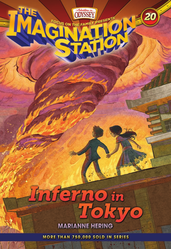

# Interno in

**MARIANNE HERING** 

MORE THAN 750,000 SOLD IN SERIES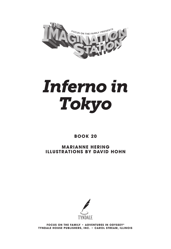

## *Inferno in Tokyo*

#### **BOOK 20**

**MARIANNE HERING ILLUSTRATIONS BY DAVID HOHN**



FOCUS ON THE FAMILY **· ADVENTURES IN ODYSSEY**<sup>®</sup> **TYNDALE HOUSE PUBLISHERS, INC. • CAROL STREAM, ILLINOIS**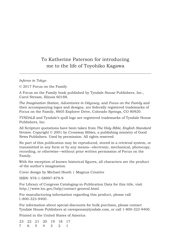#### To Katherine Paterson for introducing me to the life of Toyohiko Kagawa

*Inferno in Tokyo*

© 2017 Focus on the Family

A Focus on the Family book published by Tyndale House Publishers, Inc., Carol Stream, Illinois 60188.

*The Imagination Station*, *Adventures in Odyssey*, and *Focus on the Family* and their accompanying logos and designs, are federally registered trademarks of Focus on the Family, 8605 Explorer Drive, Colorado Springs, CO 80920.

*TYNDALE* and Tyndale's quill logo are registered trademarks of Tyndale House Publishers, Inc.

All Scripture quotations have been taken from *The Holy Bible, English Standard Version*. Copyright © 2001 by Crossway Bibles, a publishing ministry of Good News Publishers. Used by permission. All rights reserved.

No part of this publication may be reproduced, stored in a retrieval system, or transmitted in any form or by any means—electronic, mechanical, photocopy, recording, or otherwise—without prior written permission of Focus on the Family.

With the exception of known historical figures, all characters are the product of the author's imagination.

Cover design by Michael Heath | Magnus Creative

ISBN: 978-1-58997-879-9

For Library of Congress Cataloging-in-Publication Data for this title, visit http://www.loc.gov/help/contact-general.html.

For manufacturing information regarding this product, please call 1-800-323-9400.

For information about special discounts for bulk purchses, please contact Tyndale House Publishers at csresponse@tyndale.com, or call 1-800-323-9400.

Printed in the United States of America

23 22 21 20 19 18 17 7 6 5 4 3 2 1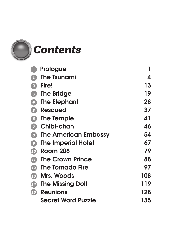

|                  | Prologue                    |     |
|------------------|-----------------------------|-----|
|                  | <b>The Tsunami</b>          | 4   |
| 2                | Fire!                       | 13  |
| 0                | <b>The Bridge</b>           | 19  |
| 0                | <b>The Elephant</b>         | 28  |
| $\boxed{5}$      | <b>Rescued</b>              | 37  |
| $\boxed{6}$      | The Temple                  | 41  |
| $\overline{z}$   | Chibi-chan                  | 46  |
| $\boxed{3}$      | <b>The American Embassy</b> | 54  |
| $\overline{9}$   | <b>The Imperial Hotel</b>   | 67  |
| $\overline{10}$  | <b>Room 208</b>             | 79  |
| 11               | <b>The Crown Prince</b>     | 88  |
| $\overline{12}$  | The Tornado Fire            | 97  |
| $\boldsymbol{E}$ | Mrs. Woods                  | 108 |
| $\mathbf{L}$     | <b>The Missing Doll</b>     | 119 |
| 45               | <b>Reunions</b>             | 128 |
|                  | <b>Secret Word Puzzle</b>   | 135 |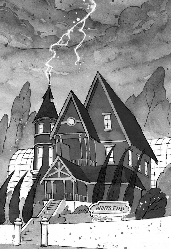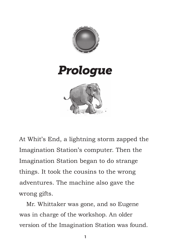<span id="page-5-0"></span>

At Whit's End, a lightning storm zapped the Imagination Station's computer. Then the Imagination Station began to do strange things. It took the cousins to the wrong adventures. The machine also gave the wrong gifts.

Mr. Whittaker was gone, and so Eugene was in charge of the workshop. An older version of the Imagination Station was found.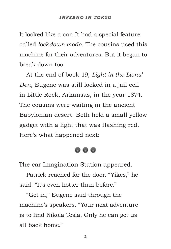It looked like a car. It had a special feature called *lockdown mode*. The cousins used this machine for their adventures. But it began to break down too.

At the end of book 19, *Light in the Lions' Den*, Eugene was still locked in a jail cell in Little Rock, Arkansas, in the year 1874. The cousins were waiting in the ancient Babylonian desert. Beth held a small yellow gadget with a light that was flashing red. Here's what happened next:

#### $000$

The car Imagination Station appeared.

Patrick reached for the door. "Yikes," he said. "It's even hotter than before."

"Get in," Eugene said through the machine's speakers. "Your next adventure is to find Nikola Tesla. Only he can get us all back home."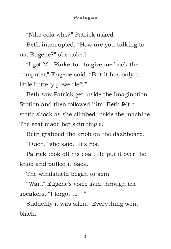#### *Prologue*

"Nike cola who?" Patrick asked.

Beth interrupted. "How are you talking to us, Eugene?" she asked.

"I got Mr. Pinkerton to give me back the computer," Eugene said. "But it has only a little battery power left."

Beth saw Patrick get inside the Imagination Station and then followed him. Beth felt a static shock as she climbed inside the machine. The seat made her skin tingle.

Beth grabbed the knob on the dashboard.

"Ouch," she said. "It's hot."

Patrick took off his coat. He put it over the knob and pulled it back.

The windshield began to spin.

"Wait," Eugene's voice said through the speakers. "I forgot to—"

Suddenly it was silent. Everything went black.

**3**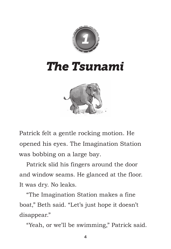<span id="page-8-0"></span>

### *The Tsunami*



Patrick felt a gentle rocking motion. He opened his eyes. The Imagination Station was bobbing on a large bay.

Patrick slid his fingers around the door and window seams. He glanced at the floor. It was dry. No leaks.

"The Imagination Station makes a fine boat," Beth said. "Let's just hope it doesn't disappear."

"Yeah, or we'll be swimming," Patrick said.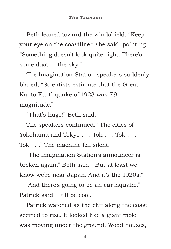Beth leaned toward the windshield. "Keep your eye on the coastline," she said, pointing. "Something doesn't look quite right. There's some dust in the sky."

The Imagination Station speakers suddenly blared, "Scientists estimate that the Great Kanto Earthquake of 1923 was 7.9 in magnitude."

"That's huge!" Beth said.

The speakers continued. "The cities of Yokohama and Tokyo . . . Tok . . . Tok . . . Tok . . ." The machine fell silent.

"The Imagination Station's announcer is broken again," Beth said. "But at least we know we're near Japan. And it's the 1920s."

"And there's going to be an earthquake," Patrick said. "It'll be cool."

Patrick watched as the cliff along the coast seemed to rise. It looked like a giant mole was moving under the ground. Wood houses,

**5**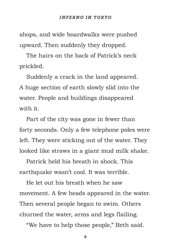shops, and wide boardwalks were pushed upward. Then suddenly they dropped.

The hairs on the back of Patrick's neck prickled.

Suddenly a crack in the land appeared. A huge section of earth slowly slid into the water. People and buildings disappeared with it.

Part of the city was gone in fewer than forty seconds. Only a few telephone poles were left. They were sticking out of the water. They looked like straws in a giant mud milk shake.

Patrick held his breath in shock. This earthquake wasn't cool. It was terrible.

He let out his breath when he saw movement. A few heads appeared in the water. Then several people began to swim. Others churned the water, arms and legs flailing.

"We have to help those people," Beth said.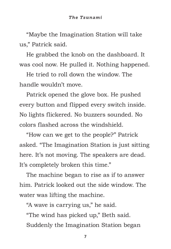"Maybe the Imagination Station will take us," Patrick said.

He grabbed the knob on the dashboard. It was cool now. He pulled it. Nothing happened.

He tried to roll down the window. The handle wouldn't move.

Patrick opened the glove box. He pushed every button and flipped every switch inside. No lights flickered. No buzzers sounded. No colors flashed across the windshield.

"How can we get to the people?" Patrick asked. "The Imagination Station is just sitting here. It's not moving. The speakers are dead. It's completely broken this time."

The machine began to rise as if to answer him. Patrick looked out the side window. The water was lifting the machine.

"A wave is carrying us," he said.

"The wind has picked up," Beth said. Suddenly the Imagination Station began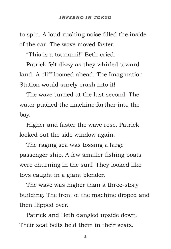to spin. A loud rushing noise filled the inside of the car. The wave moved faster.

"This is a tsunami!" Beth cried.

Patrick felt dizzy as they whirled toward land. A cliff loomed ahead. The Imagination Station would surely crash into it!

The wave turned at the last second. The water pushed the machine farther into the bay.

Higher and faster the wave rose. Patrick looked out the side window again.

The raging sea was tossing a large passenger ship. A few smaller fishing boats were churning in the surf. They looked like toys caught in a giant blender.

The wave was higher than a three-story building. The front of the machine dipped and then flipped over.

Patrick and Beth dangled upside down. Their seat belts held them in their seats.

**8**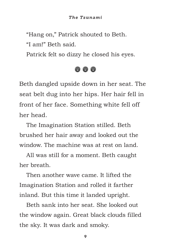"Hang on," Patrick shouted to Beth.

"I am!" Beth said.

Patrick felt so dizzy he closed his eyes.



Beth dangled upside down in her seat. The seat belt dug into her hips. Her hair fell in front of her face. Something white fell off her head.

The Imagination Station stilled. Beth brushed her hair away and looked out the window. The machine was at rest on land.

All was still for a moment. Beth caught her breath.

Then another wave came. It lifted the Imagination Station and rolled it farther inland. But this time it landed upright.

Beth sank into her seat. She looked out the window again. Great black clouds filled the sky. It was dark and smoky.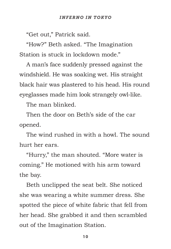"Get out," Patrick said.

"How?" Beth asked. "The Imagination Station is stuck in lockdown mode."

A man's face suddenly pressed against the windshield. He was soaking wet. His straight black hair was plastered to his head. His round eyeglasses made him look strangely owl-like.

The man blinked.

Then the door on Beth's side of the car opened.

The wind rushed in with a howl. The sound hurt her ears.

"Hurry," the man shouted. "More water is coming." He motioned with his arm toward the bay.

Beth unclipped the seat belt. She noticed she was wearing a white summer dress. She spotted the piece of white fabric that fell from her head. She grabbed it and then scrambled out of the Imagination Station.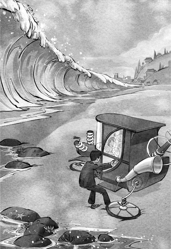